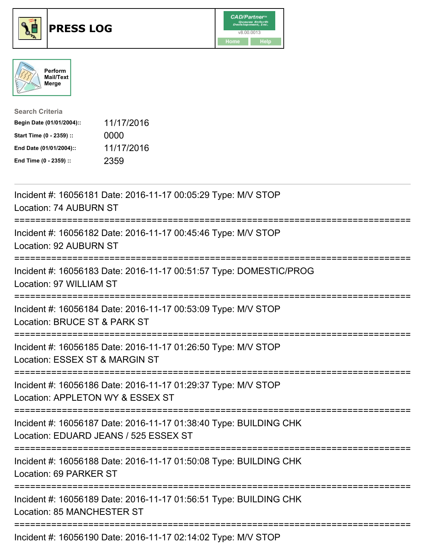





| <b>Search Criteria</b>    |            |
|---------------------------|------------|
| Begin Date (01/01/2004):: | 11/17/2016 |
| Start Time (0 - 2359) ::  | 0000       |
| End Date (01/01/2004)::   | 11/17/2016 |
| End Time (0 - 2359) ::    | 2359       |

| Incident #: 16056181 Date: 2016-11-17 00:05:29 Type: M/V STOP<br>Location: 74 AUBURN ST                                                         |
|-------------------------------------------------------------------------------------------------------------------------------------------------|
| Incident #: 16056182 Date: 2016-11-17 00:45:46 Type: M/V STOP<br>Location: 92 AUBURN ST                                                         |
| Incident #: 16056183 Date: 2016-11-17 00:51:57 Type: DOMESTIC/PROG<br>Location: 97 WILLIAM ST                                                   |
| Incident #: 16056184 Date: 2016-11-17 00:53:09 Type: M/V STOP<br>Location: BRUCE ST & PARK ST                                                   |
| Incident #: 16056185 Date: 2016-11-17 01:26:50 Type: M/V STOP<br>Location: ESSEX ST & MARGIN ST                                                 |
| Incident #: 16056186 Date: 2016-11-17 01:29:37 Type: M/V STOP<br>Location: APPLETON WY & ESSEX ST<br>============<br>-------------------------- |
| Incident #: 16056187 Date: 2016-11-17 01:38:40 Type: BUILDING CHK<br>Location: EDUARD JEANS / 525 ESSEX ST                                      |
| Incident #: 16056188 Date: 2016-11-17 01:50:08 Type: BUILDING CHK<br>Location: 69 PARKER ST                                                     |
| Incident #: 16056189 Date: 2016-11-17 01:56:51 Type: BUILDING CHK<br>Location: 85 MANCHESTER ST                                                 |
| ===============<br>Incident #: 16056190 Date: 2016-11-17 02:14:02 Type: M/V STOP                                                                |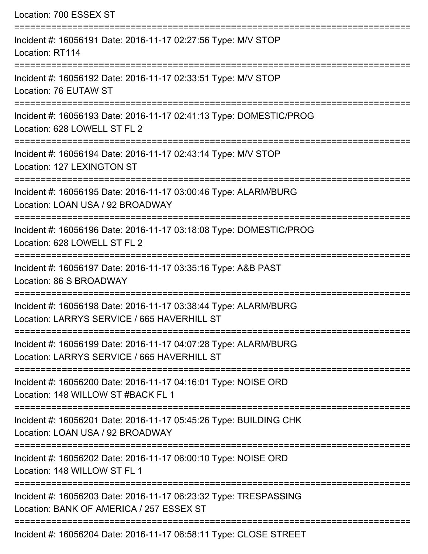| Location: 700 ESSEX ST                                                                                                           |
|----------------------------------------------------------------------------------------------------------------------------------|
| Incident #: 16056191 Date: 2016-11-17 02:27:56 Type: M/V STOP<br>Location: RT114                                                 |
| Incident #: 16056192 Date: 2016-11-17 02:33:51 Type: M/V STOP<br>Location: 76 EUTAW ST                                           |
| Incident #: 16056193 Date: 2016-11-17 02:41:13 Type: DOMESTIC/PROG<br>Location: 628 LOWELL ST FL 2                               |
| Incident #: 16056194 Date: 2016-11-17 02:43:14 Type: M/V STOP<br>Location: 127 LEXINGTON ST<br>================================= |
| Incident #: 16056195 Date: 2016-11-17 03:00:46 Type: ALARM/BURG<br>Location: LOAN USA / 92 BROADWAY                              |
| Incident #: 16056196 Date: 2016-11-17 03:18:08 Type: DOMESTIC/PROG<br>Location: 628 LOWELL ST FL 2                               |
| Incident #: 16056197 Date: 2016-11-17 03:35:16 Type: A&B PAST<br>Location: 86 S BROADWAY                                         |
| Incident #: 16056198 Date: 2016-11-17 03:38:44 Type: ALARM/BURG<br>Location: LARRYS SERVICE / 665 HAVERHILL ST                   |
| Incident #: 16056199 Date: 2016-11-17 04:07:28 Type: ALARM/BURG<br>Location: LARRYS SERVICE / 665 HAVERHILL ST                   |
| Incident #: 16056200 Date: 2016-11-17 04:16:01 Type: NOISE ORD<br>Location: 148 WILLOW ST #BACK FL 1                             |
| Incident #: 16056201 Date: 2016-11-17 05:45:26 Type: BUILDING CHK<br>Location: LOAN USA / 92 BROADWAY                            |
| Incident #: 16056202 Date: 2016-11-17 06:00:10 Type: NOISE ORD<br>Location: 148 WILLOW ST FL 1                                   |
| Incident #: 16056203 Date: 2016-11-17 06:23:32 Type: TRESPASSING<br>Location: BANK OF AMERICA / 257 ESSEX ST                     |
| Incident #: 16056204 Date: 2016-11-17 06:58:11 Type: CLOSE STREET                                                                |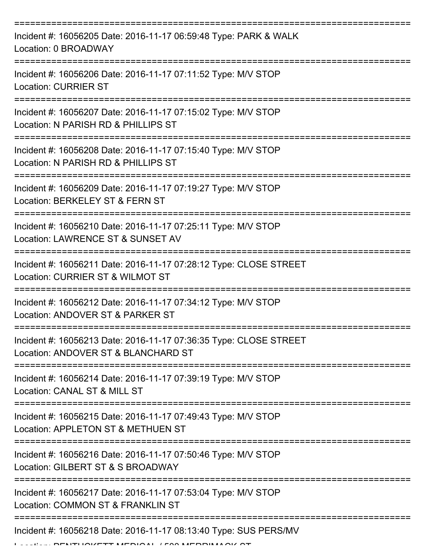| Incident #: 16056205 Date: 2016-11-17 06:59:48 Type: PARK & WALK<br>Location: 0 BROADWAY                 |
|----------------------------------------------------------------------------------------------------------|
| Incident #: 16056206 Date: 2016-11-17 07:11:52 Type: M/V STOP<br><b>Location: CURRIER ST</b>             |
| Incident #: 16056207 Date: 2016-11-17 07:15:02 Type: M/V STOP<br>Location: N PARISH RD & PHILLIPS ST     |
| Incident #: 16056208 Date: 2016-11-17 07:15:40 Type: M/V STOP<br>Location: N PARISH RD & PHILLIPS ST     |
| Incident #: 16056209 Date: 2016-11-17 07:19:27 Type: M/V STOP<br>Location: BERKELEY ST & FERN ST         |
| Incident #: 16056210 Date: 2016-11-17 07:25:11 Type: M/V STOP<br>Location: LAWRENCE ST & SUNSET AV       |
| Incident #: 16056211 Date: 2016-11-17 07:28:12 Type: CLOSE STREET<br>Location: CURRIER ST & WILMOT ST    |
| Incident #: 16056212 Date: 2016-11-17 07:34:12 Type: M/V STOP<br>Location: ANDOVER ST & PARKER ST        |
| Incident #: 16056213 Date: 2016-11-17 07:36:35 Type: CLOSE STREET<br>Location: ANDOVER ST & BLANCHARD ST |
| Incident #: 16056214 Date: 2016-11-17 07:39:19 Type: M/V STOP<br>Location: CANAL ST & MILL ST            |
| Incident #: 16056215 Date: 2016-11-17 07:49:43 Type: M/V STOP<br>Location: APPLETON ST & METHUEN ST      |
| Incident #: 16056216 Date: 2016-11-17 07:50:46 Type: M/V STOP<br>Location: GILBERT ST & S BROADWAY       |
| Incident #: 16056217 Date: 2016-11-17 07:53:04 Type: M/V STOP<br>Location: COMMON ST & FRANKLIN ST       |
| Incident #: 16056218 Date: 2016-11-17 08:13:40 Type: SUS PERS/MV                                         |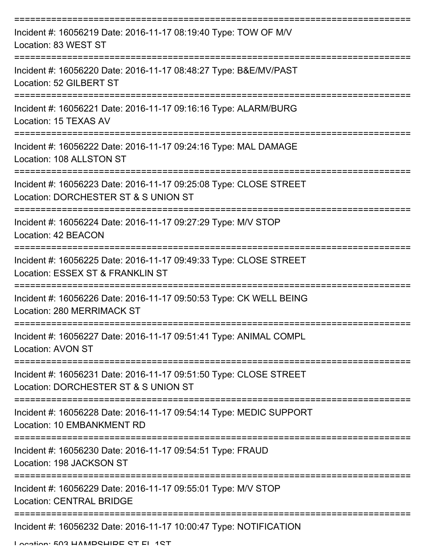| Incident #: 16056219 Date: 2016-11-17 08:19:40 Type: TOW OF M/V<br>Location: 83 WEST ST                                        |
|--------------------------------------------------------------------------------------------------------------------------------|
| Incident #: 16056220 Date: 2016-11-17 08:48:27 Type: B&E/MV/PAST<br>Location: 52 GILBERT ST                                    |
| Incident #: 16056221 Date: 2016-11-17 09:16:16 Type: ALARM/BURG<br>Location: 15 TEXAS AV                                       |
| Incident #: 16056222 Date: 2016-11-17 09:24:16 Type: MAL DAMAGE<br>Location: 108 ALLSTON ST                                    |
| Incident #: 16056223 Date: 2016-11-17 09:25:08 Type: CLOSE STREET<br>Location: DORCHESTER ST & S UNION ST                      |
| Incident #: 16056224 Date: 2016-11-17 09:27:29 Type: M/V STOP<br>Location: 42 BEACON                                           |
| Incident #: 16056225 Date: 2016-11-17 09:49:33 Type: CLOSE STREET<br>Location: ESSEX ST & FRANKLIN ST                          |
| Incident #: 16056226 Date: 2016-11-17 09:50:53 Type: CK WELL BEING<br>Location: 280 MERRIMACK ST                               |
| Incident #: 16056227 Date: 2016-11-17 09:51:41 Type: ANIMAL COMPL<br><b>Location: AVON ST</b>                                  |
| -----------------<br>Incident #: 16056231 Date: 2016-11-17 09:51:50 Type: CLOSE STREET<br>Location: DORCHESTER ST & S UNION ST |
| Incident #: 16056228 Date: 2016-11-17 09:54:14 Type: MEDIC SUPPORT<br>Location: 10 EMBANKMENT RD                               |
| Incident #: 16056230 Date: 2016-11-17 09:54:51 Type: FRAUD<br>Location: 198 JACKSON ST                                         |
| Incident #: 16056229 Date: 2016-11-17 09:55:01 Type: M/V STOP<br><b>Location: CENTRAL BRIDGE</b>                               |
| Incident #: 16056232 Date: 2016-11-17 10:00:47 Type: NOTIFICATION                                                              |

Location: 503 HAMPSHIPE ST EL 1ST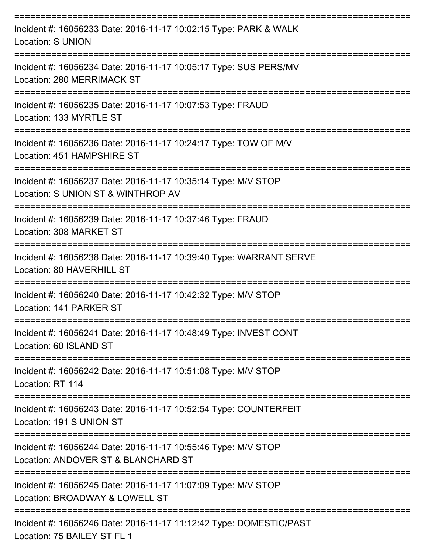| Incident #: 16056233 Date: 2016-11-17 10:02:15 Type: PARK & WALK<br><b>Location: S UNION</b>            |
|---------------------------------------------------------------------------------------------------------|
| Incident #: 16056234 Date: 2016-11-17 10:05:17 Type: SUS PERS/MV<br>Location: 280 MERRIMACK ST          |
| Incident #: 16056235 Date: 2016-11-17 10:07:53 Type: FRAUD<br>Location: 133 MYRTLE ST                   |
| Incident #: 16056236 Date: 2016-11-17 10:24:17 Type: TOW OF M/V<br>Location: 451 HAMPSHIRE ST           |
| Incident #: 16056237 Date: 2016-11-17 10:35:14 Type: M/V STOP<br>Location: S UNION ST & WINTHROP AV     |
| Incident #: 16056239 Date: 2016-11-17 10:37:46 Type: FRAUD<br>Location: 308 MARKET ST                   |
| Incident #: 16056238 Date: 2016-11-17 10:39:40 Type: WARRANT SERVE<br>Location: 80 HAVERHILL ST         |
| Incident #: 16056240 Date: 2016-11-17 10:42:32 Type: M/V STOP<br>Location: 141 PARKER ST                |
| Incident #: 16056241 Date: 2016-11-17 10:48:49 Type: INVEST CONT<br>Location: 60 ISLAND ST              |
| ================<br>Incident #: 16056242 Date: 2016-11-17 10:51:08 Type: M/V STOP<br>Location: RT 114   |
| Incident #: 16056243 Date: 2016-11-17 10:52:54 Type: COUNTERFEIT<br>Location: 191 S UNION ST            |
| Incident #: 16056244 Date: 2016-11-17 10:55:46 Type: M/V STOP<br>Location: ANDOVER ST & BLANCHARD ST    |
| Incident #: 16056245 Date: 2016-11-17 11:07:09 Type: M/V STOP<br>Location: BROADWAY & LOWELL ST         |
| Incident #: 16056246 Date: 2016-11-17 11:12:42 Type: DOMESTIC/PAST<br>$L$ costion: $75$ DAII FV CT FL 4 |

Location: 75 BAILEY ST FL 1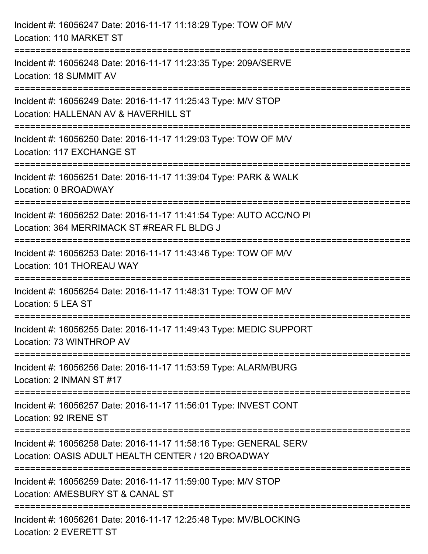| Incident #: 16056247 Date: 2016-11-17 11:18:29 Type: TOW OF M/V<br>Location: 110 MARKET ST                                            |
|---------------------------------------------------------------------------------------------------------------------------------------|
| Incident #: 16056248 Date: 2016-11-17 11:23:35 Type: 209A/SERVE<br>Location: 18 SUMMIT AV                                             |
| Incident #: 16056249 Date: 2016-11-17 11:25:43 Type: M/V STOP<br>Location: HALLENAN AV & HAVERHILL ST<br>========================     |
| Incident #: 16056250 Date: 2016-11-17 11:29:03 Type: TOW OF M/V<br>Location: 117 EXCHANGE ST                                          |
| Incident #: 16056251 Date: 2016-11-17 11:39:04 Type: PARK & WALK<br>Location: 0 BROADWAY                                              |
| Incident #: 16056252 Date: 2016-11-17 11:41:54 Type: AUTO ACC/NO PI<br>Location: 364 MERRIMACK ST #REAR FL BLDG J                     |
| :====================================<br>Incident #: 16056253 Date: 2016-11-17 11:43:46 Type: TOW OF M/V<br>Location: 101 THOREAU WAY |
| Incident #: 16056254 Date: 2016-11-17 11:48:31 Type: TOW OF M/V<br>Location: 5 LEA ST                                                 |
| Incident #: 16056255 Date: 2016-11-17 11:49:43 Type: MEDIC SUPPORT<br>Location: 73 WINTHROP AV                                        |
| Incident #: 16056256 Date: 2016-11-17 11:53:59 Type: ALARM/BURG<br>Location: 2 INMAN ST #17                                           |
| Incident #: 16056257 Date: 2016-11-17 11:56:01 Type: INVEST CONT<br>Location: 92 IRENE ST                                             |
| Incident #: 16056258 Date: 2016-11-17 11:58:16 Type: GENERAL SERV<br>Location: OASIS ADULT HEALTH CENTER / 120 BROADWAY               |
| Incident #: 16056259 Date: 2016-11-17 11:59:00 Type: M/V STOP<br>Location: AMESBURY ST & CANAL ST                                     |
| Incident #: 16056261 Date: 2016-11-17 12:25:48 Type: MV/BLOCKING<br>Location: 2 EVERETT ST                                            |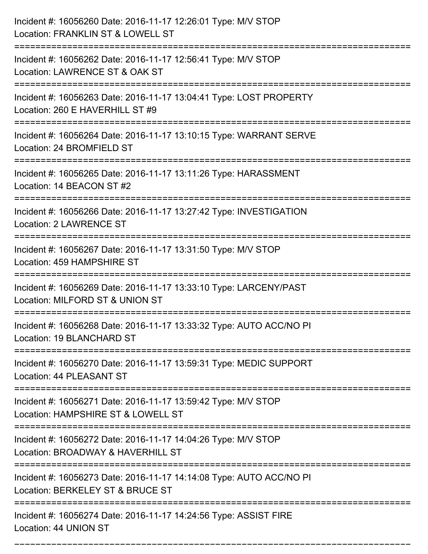| Incident #: 16056260 Date: 2016-11-17 12:26:01 Type: M/V STOP<br>Location: FRANKLIN ST & LOWELL ST      |
|---------------------------------------------------------------------------------------------------------|
| Incident #: 16056262 Date: 2016-11-17 12:56:41 Type: M/V STOP<br>Location: LAWRENCE ST & OAK ST         |
| Incident #: 16056263 Date: 2016-11-17 13:04:41 Type: LOST PROPERTY<br>Location: 260 E HAVERHILL ST #9   |
| Incident #: 16056264 Date: 2016-11-17 13:10:15 Type: WARRANT SERVE<br>Location: 24 BROMFIELD ST         |
| Incident #: 16056265 Date: 2016-11-17 13:11:26 Type: HARASSMENT<br>Location: 14 BEACON ST #2            |
| Incident #: 16056266 Date: 2016-11-17 13:27:42 Type: INVESTIGATION<br><b>Location: 2 LAWRENCE ST</b>    |
| Incident #: 16056267 Date: 2016-11-17 13:31:50 Type: M/V STOP<br>Location: 459 HAMPSHIRE ST             |
| Incident #: 16056269 Date: 2016-11-17 13:33:10 Type: LARCENY/PAST<br>Location: MILFORD ST & UNION ST    |
| Incident #: 16056268 Date: 2016-11-17 13:33:32 Type: AUTO ACC/NO PI<br>Location: 19 BLANCHARD ST        |
| Incident #: 16056270 Date: 2016-11-17 13:59:31 Type: MEDIC SUPPORT<br>Location: 44 PLEASANT ST          |
| Incident #: 16056271 Date: 2016-11-17 13:59:42 Type: M/V STOP<br>Location: HAMPSHIRE ST & LOWELL ST     |
| Incident #: 16056272 Date: 2016-11-17 14:04:26 Type: M/V STOP<br>Location: BROADWAY & HAVERHILL ST      |
| Incident #: 16056273 Date: 2016-11-17 14:14:08 Type: AUTO ACC/NO PI<br>Location: BERKELEY ST & BRUCE ST |
| Incident #: 16056274 Date: 2016-11-17 14:24:56 Type: ASSIST FIRE<br>Location: 44 UNION ST               |

===========================================================================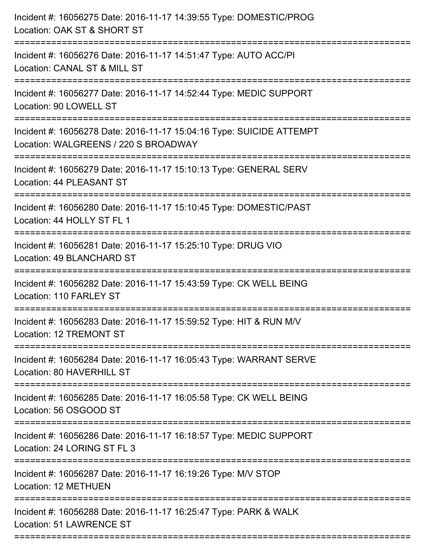| Incident #: 16056275 Date: 2016-11-17 14:39:55 Type: DOMESTIC/PROG<br>Location: OAK ST & SHORT ST                                  |
|------------------------------------------------------------------------------------------------------------------------------------|
| Incident #: 16056276 Date: 2016-11-17 14:51:47 Type: AUTO ACC/PI<br>Location: CANAL ST & MILL ST                                   |
| Incident #: 16056277 Date: 2016-11-17 14:52:44 Type: MEDIC SUPPORT<br>Location: 90 LOWELL ST                                       |
| Incident #: 16056278 Date: 2016-11-17 15:04:16 Type: SUICIDE ATTEMPT<br>Location: WALGREENS / 220 S BROADWAY                       |
| Incident #: 16056279 Date: 2016-11-17 15:10:13 Type: GENERAL SERV<br>Location: 44 PLEASANT ST                                      |
| Incident #: 16056280 Date: 2016-11-17 15:10:45 Type: DOMESTIC/PAST<br>Location: 44 HOLLY ST FL 1                                   |
| Incident #: 16056281 Date: 2016-11-17 15:25:10 Type: DRUG VIO<br>Location: 49 BLANCHARD ST                                         |
| Incident #: 16056282 Date: 2016-11-17 15:43:59 Type: CK WELL BEING<br>Location: 110 FARLEY ST                                      |
| Incident #: 16056283 Date: 2016-11-17 15:59:52 Type: HIT & RUN M/V<br>Location: 12 TREMONT ST                                      |
| Incident #: 16056284 Date: 2016-11-17 16:05:43 Type: WARRANT SERVE<br>Location: 80 HAVERHILL ST                                    |
| Incident #: 16056285 Date: 2016-11-17 16:05:58 Type: CK WELL BEING<br>Location: 56 OSGOOD ST                                       |
| Incident #: 16056286 Date: 2016-11-17 16:18:57 Type: MEDIC SUPPORT<br>Location: 24 LORING ST FL 3                                  |
| Incident #: 16056287 Date: 2016-11-17 16:19:26 Type: M/V STOP<br>Location: 12 METHUEN                                              |
| :==========================<br>Incident #: 16056288 Date: 2016-11-17 16:25:47 Type: PARK & WALK<br><b>Location: 51 LAWRENCE ST</b> |
|                                                                                                                                    |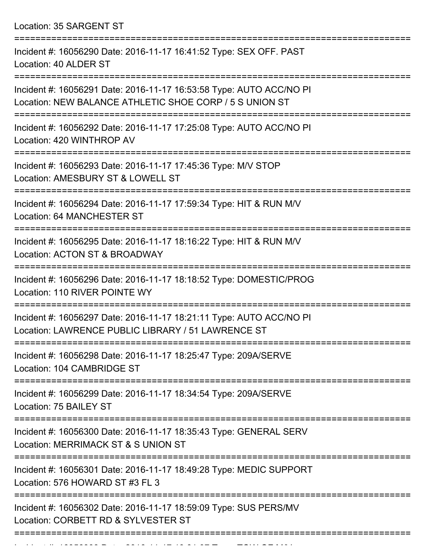Location: 35 SARGENT ST

| Incident #: 16056290 Date: 2016-11-17 16:41:52 Type: SEX OFF. PAST<br>Location: 40 ALDER ST                                    |
|--------------------------------------------------------------------------------------------------------------------------------|
| Incident #: 16056291 Date: 2016-11-17 16:53:58 Type: AUTO ACC/NO PI<br>Location: NEW BALANCE ATHLETIC SHOE CORP / 5 S UNION ST |
| Incident #: 16056292 Date: 2016-11-17 17:25:08 Type: AUTO ACC/NO PI<br>Location: 420 WINTHROP AV                               |
| Incident #: 16056293 Date: 2016-11-17 17:45:36 Type: M/V STOP<br>Location: AMESBURY ST & LOWELL ST                             |
| Incident #: 16056294 Date: 2016-11-17 17:59:34 Type: HIT & RUN M/V<br><b>Location: 64 MANCHESTER ST</b>                        |
| Incident #: 16056295 Date: 2016-11-17 18:16:22 Type: HIT & RUN M/V<br>Location: ACTON ST & BROADWAY                            |
| Incident #: 16056296 Date: 2016-11-17 18:18:52 Type: DOMESTIC/PROG<br>Location: 110 RIVER POINTE WY                            |
| Incident #: 16056297 Date: 2016-11-17 18:21:11 Type: AUTO ACC/NO PI<br>Location: LAWRENCE PUBLIC LIBRARY / 51 LAWRENCE ST      |
| Incident #: 16056298 Date: 2016-11-17 18:25:47 Type: 209A/SERVE<br>Location: 104 CAMBRIDGE ST                                  |
| Incident #: 16056299 Date: 2016-11-17 18:34:54 Type: 209A/SERVE<br>Location: 75 BAILEY ST                                      |
| Incident #: 16056300 Date: 2016-11-17 18:35:43 Type: GENERAL SERV<br>Location: MERRIMACK ST & S UNION ST                       |
| Incident #: 16056301 Date: 2016-11-17 18:49:28 Type: MEDIC SUPPORT<br>Location: 576 HOWARD ST #3 FL 3                          |
| Incident #: 16056302 Date: 2016-11-17 18:59:09 Type: SUS PERS/MV<br>Location: CORBETT RD & SYLVESTER ST                        |
|                                                                                                                                |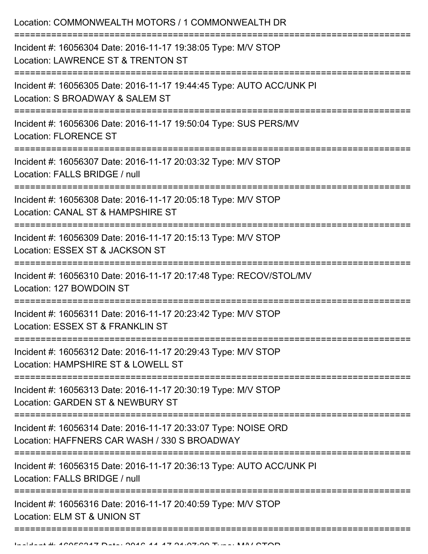| Location: COMMONWEALTH MOTORS / 1 COMMONWEALTH DR                                                                                                                                           |
|---------------------------------------------------------------------------------------------------------------------------------------------------------------------------------------------|
| Incident #: 16056304 Date: 2016-11-17 19:38:05 Type: M/V STOP<br>Location: LAWRENCE ST & TRENTON ST<br>---------------------                                                                |
| Incident #: 16056305 Date: 2016-11-17 19:44:45 Type: AUTO ACC/UNK PI<br>Location: S BROADWAY & SALEM ST                                                                                     |
| Incident #: 16056306 Date: 2016-11-17 19:50:04 Type: SUS PERS/MV<br><b>Location: FLORENCE ST</b>                                                                                            |
| Incident #: 16056307 Date: 2016-11-17 20:03:32 Type: M/V STOP<br>Location: FALLS BRIDGE / null                                                                                              |
| Incident #: 16056308 Date: 2016-11-17 20:05:18 Type: M/V STOP<br>Location: CANAL ST & HAMPSHIRE ST                                                                                          |
| :=====================<br>=====================================<br>Incident #: 16056309 Date: 2016-11-17 20:15:13 Type: M/V STOP<br>Location: ESSEX ST & JACKSON ST<br>-------------------- |
| Incident #: 16056310 Date: 2016-11-17 20:17:48 Type: RECOV/STOL/MV<br>Location: 127 BOWDOIN ST                                                                                              |
| Incident #: 16056311 Date: 2016-11-17 20:23:42 Type: M/V STOP<br>Location: ESSEX ST & FRANKLIN ST                                                                                           |
| Incident #: 16056312 Date: 2016-11-17 20:29:43 Type: M/V STOP<br>Location: HAMPSHIRE ST & LOWELL ST                                                                                         |
| Incident #: 16056313 Date: 2016-11-17 20:30:19 Type: M/V STOP<br>Location: GARDEN ST & NEWBURY ST                                                                                           |
| Incident #: 16056314 Date: 2016-11-17 20:33:07 Type: NOISE ORD<br>Location: HAFFNERS CAR WASH / 330 S BROADWAY                                                                              |
| Incident #: 16056315 Date: 2016-11-17 20:36:13 Type: AUTO ACC/UNK PI<br>Location: FALLS BRIDGE / null                                                                                       |
| Incident #: 16056316 Date: 2016-11-17 20:40:59 Type: M/V STOP<br>Location: ELM ST & UNION ST                                                                                                |
|                                                                                                                                                                                             |